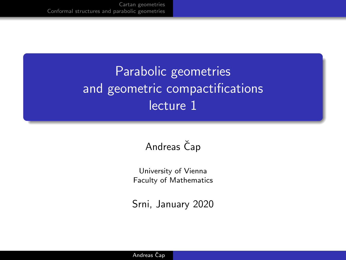# Parabolic geometries and geometric compactifications lecture 1

### Andreas Čap

University of Vienna Faculty of Mathematics

Srni, January 2020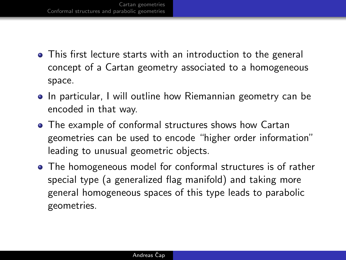- This first lecture starts with an introduction to the general concept of a Cartan geometry associated to a homogeneous space.
- In particular, I will outline how Riemannian geometry can be encoded in that way.
- The example of conformal structures shows how Cartan geometries can be used to encode "higher order information" leading to unusual geometric objects.
- The homogeneous model for conformal structures is of rather special type (a generalized flag manifold) and taking more general homogeneous spaces of this type leads to parabolic geometries.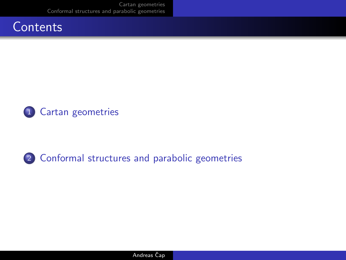



2 [Conformal structures and parabolic geometries](#page-7-0)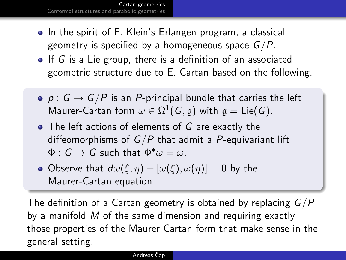<span id="page-3-0"></span>[Cartan geometries](#page-3-0) [Conformal structures and parabolic geometries](#page-7-0)

- In the spirit of F. Klein's Erlangen program, a classical geometry is specified by a homogeneous space  $G/P$ .
- $\bullet$  If G is a Lie group, there is a definition of an associated geometric structure due to E. Cartan based on the following.
- $p : G \rightarrow G/P$  is an P-principal bundle that carries the left Maurer-Cartan form  $\omega \in \Omega^1(\mathcal{G},\mathfrak{g})$  with  $\mathfrak{g} = \mathsf{Lie}(\mathcal{G}).$
- The left actions of elements of G are exactly the diffeomorphisms of  $G/P$  that admit a P-equivariant lift  $\Phi: G \to G$  such that  $\Phi^* \omega = \omega$ .
- Observe that  $d\omega(\xi, \eta) + [\omega(\xi), \omega(\eta)] = 0$  by the Maurer-Cartan equation.

The definition of a Cartan geometry is obtained by replacing  $G/P$ by a manifold M of the same dimension and requiring exactly those properties of the Maurer Cartan form that make sense in the general setting.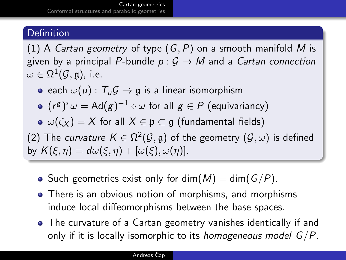#### **Definition**

(1) A Cartan geometry of type  $(G, P)$  on a smooth manifold M is given by a principal P-bundle  $p: G \to M$  and a Cartan connection  $\omega \in \Omega^1(\mathcal{G},\mathfrak{g}),$  i.e.

e each  $\omega(u)$ :  $T_u G \rightarrow \mathfrak{g}$  is a linear isomorphism

 $(r^{\mathcal{S}})^*\omega = \mathsf{Ad}(g)^{-1} \circ \omega$  for all  $g \in P$  (equivariancy)

 $\omega(\zeta_X) = X$  for all  $X \in \mathfrak{p} \subset \mathfrak{g}$  (fundamental fields)

(2) The *curvature K*  $\in$  Ω<sup>2</sup>( $\mathcal{G}, \mathfrak{g}$ ) of the geometry ( $\mathcal{G}, \omega$ ) is defined by  $K(\xi, \eta) = d\omega(\xi, \eta) + [\omega(\xi), \omega(\eta)].$ 

- Such geometries exist only for dim( $M$ ) = dim( $G/P$ ).
- There is an obvious notion of morphisms, and morphisms induce local diffeomorphisms between the base spaces.
- The curvature of a Cartan geometry vanishes identically if and only if it is locally isomorphic to its *homogeneous model*  $G/P$ .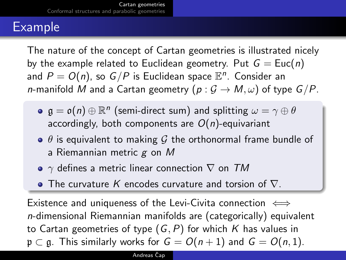# Example

The nature of the concept of Cartan geometries is illustrated nicely by the example related to Euclidean geometry. Put  $G = \text{Euc}(n)$ and  $P=O(n)$ , so  $G/P$  is Euclidean space  $\mathbb{E}^n.$  Consider an *n*-manifold M and a Cartan geometry  $(p: \mathcal{G} \to M, \omega)$  of type  $G/P$ .

- $\mathfrak{g} = \mathfrak{o}(n) \oplus \mathbb{R}^n$  (semi-direct sum) and splitting  $\omega = \gamma \oplus \theta$ accordingly, both components are  $O(n)$ -equivariant
- $\bullet$   $\theta$  is equivalent to making G the orthonormal frame bundle of a Riemannian metric  $g$  on  $M$
- $\gamma$  defines a metric linear connection  $\nabla$  on TM
- The curvature K encodes curvature and torsion of  $\nabla$ .

Existence and uniqueness of the Levi-Civita connection  $\iff$ n-dimensional Riemannian manifolds are (categorically) equivalent to Cartan geometries of type  $(G, P)$  for which K has values in  $p \subset q$ . This similarly works for  $G = O(n+1)$  and  $G = O(n, 1)$ .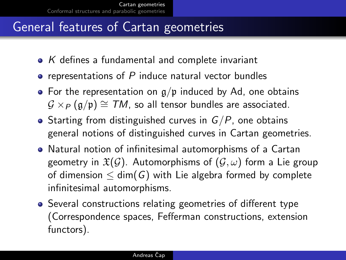# General features of Cartan geometries

- $\bullet$  K defines a fundamental and complete invariant
- $\bullet$  representations of P induce natural vector bundles
- For the representation on  $q/p$  induced by Ad, one obtains  $G \times_{P} (g/p) \cong TM$ , so all tensor bundles are associated.
- Starting from distinguished curves in  $G/P$ , one obtains general notions of distinguished curves in Cartan geometries.
- Natural notion of infinitesimal automorphisms of a Cartan geometry in  $\mathfrak{X}(\mathcal{G})$ . Automorphisms of  $(\mathcal{G}, \omega)$  form a Lie group of dimension  $\leq$  dim(G) with Lie algebra formed by complete infinitesimal automorphisms.
- Several constructions relating geometries of different type (Correspondence spaces, Fefferman constructions, extension functors).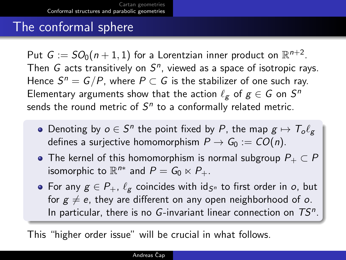### <span id="page-7-0"></span>The conformal sphere

Put  $G := SO_0(n+1,1)$  for a Lorentzian inner product on  $\mathbb{R}^{n+2}$ . Then  $G$  acts transitively on  $S<sup>n</sup>$ , viewed as a space of isotropic rays. Hence  $S^n = G/P$ , where  $P \subset G$  is the stabilizer of one such ray. Elementary arguments show that the action  $\ell_g$  of  $g \in G$  on  $S^n$ sends the round metric of  $S<sup>n</sup>$  to a conformally related metric.

- Denoting by  $o \in S^n$  the point fixed by P, the map  $g \mapsto \mathcal{T}_o \ell_g$ defines a surjective homomorphism  $P \to G_0 := CO(n)$ .
- The kernel of this homomorphism is normal subgroup  $P_+ \subset P$ isomorphic to  $\mathbb{R}^{n*}$  and  $P = G_0 \ltimes P_+$ .
- For any  $g \in P_+$ ,  $\ell_g$  coincides with id<sub>Sn</sub> to first order in o, but for  $g \neq e$ , they are different on any open neighborhood of o. In particular, there is no  $G$ -invariant linear connection on  $TS<sup>n</sup>$ .

This "higher order issue" will be crucial in what follows.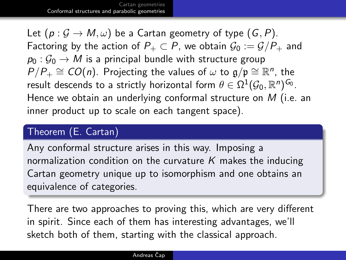Let  $(p : \mathcal{G} \to M, \omega)$  be a Cartan geometry of type  $(G, P)$ . Factoring by the action of  $P_+ \subset P$ , we obtain  $\mathcal{G}_0 := \mathcal{G}/P_+$  and  $p_0: \mathcal{G}_0 \to M$  is a principal bundle with structure group  $P/P_+ \cong CO(n)$ . Projecting the values of  $\omega$  to  $\mathfrak{g}/\mathfrak{p} \cong \mathbb{R}^n$ , the result descends to a strictly horizontal form  $\theta\in\Omega^1(\mathcal{G}_0,\mathbb{R}^n)^{\mathsf{G}_0}.$ Hence we obtain an underlying conformal structure on  $M$  (i.e. an inner product up to scale on each tangent space).

#### Theorem (E. Cartan)

Any conformal structure arises in this way. Imposing a normalization condition on the curvature K makes the inducing Cartan geometry unique up to isomorphism and one obtains an equivalence of categories.

There are two approaches to proving this, which are very different in spirit. Since each of them has interesting advantages, we'll sketch both of them, starting with the classical approach.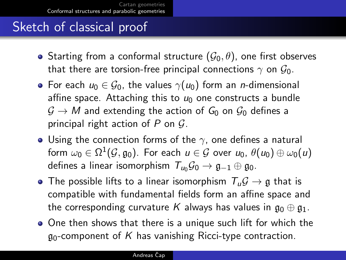# Sketch of classical proof

- Starting from a conformal structure  $(\mathcal{G}_0, \theta)$ , one first observes that there are torsion-free principal connections  $\gamma$  on  $\mathcal{G}_0$ .
- For each  $u_0 \in \mathcal{G}_0$ , the values  $\gamma(u_0)$  form an *n*-dimensional affine space. Attaching this to  $u_0$  one constructs a bundle  $G \to M$  and extending the action of  $G_0$  on  $G_0$  defines a principal right action of  $P$  on  $G$ .
- Using the connection forms of the  $\gamma$ , one defines a natural form  $\omega_0\in\Omega^1(\mathcal{G},\mathfrak{g}_0).$  For each  $u\in\mathcal{G}$  over  $u_0,$   $\theta(u_0)\oplus\omega_0(u)$ defines a linear isomorphism  $T_{u_0} \mathcal{G}_0 \rightarrow \mathfrak{g}_{-1} \oplus \mathfrak{g}_0$ .
- $\bullet$  The possible lifts to a linear isomorphism  $T_u \mathcal{G} \rightarrow \mathfrak{g}$  that is compatible with fundamental fields form an affine space and the corresponding curvature K always has values in  $\mathfrak{g}_0 \oplus \mathfrak{g}_1$ .
- One then shows that there is a unique such lift for which the  $q_0$ -component of K has vanishing Ricci-type contraction.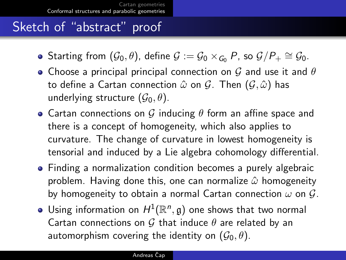# Sketch of "abstract" proof

- Starting from  $(\mathcal{G}_0, \theta)$ , define  $\mathcal{G} := \mathcal{G}_0 \times_{\mathcal{G}_0} P$ , so  $\mathcal{G}/P_+ \cong \mathcal{G}_0$ .
- Choose a principal principal connection on G and use it and  $\theta$ to define a Cartan connection  $\hat{\omega}$  on  $\mathcal{G}$ . Then  $(\mathcal{G}, \hat{\omega})$  has underlying structure  $(\mathcal{G}_0, \theta)$ .
- Cartan connections on G inducing  $\theta$  form an affine space and there is a concept of homogeneity, which also applies to curvature. The change of curvature in lowest homogeneity is tensorial and induced by a Lie algebra cohomology differential.
- Finding a normalization condition becomes a purely algebraic problem. Having done this, one can normalize  $\hat{\omega}$  homogeneity by homogeneity to obtain a normal Cartan connection  $\omega$  on  $\mathcal{G}$ .
- Using information on  $H^1(\mathbb{R}^n, \mathfrak{g})$  one shows that two normal Cartan connections on G that induce  $\theta$  are related by an automorphism covering the identity on  $(\mathcal{G}_0, \theta)$ .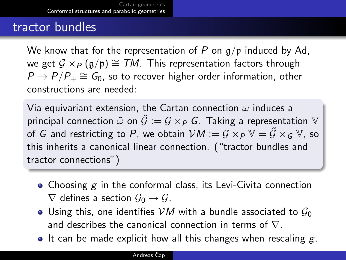### tractor bundles

We know that for the representation of P on  $g/p$  induced by Ad, we get  $G \times_P (q/p) \cong TM$ . This representation factors through  $P \rightarrow P/P_+ \cong G_0$ , so to recover higher order information, other constructions are needed:

Via equivariant extension, the Cartan connection  $\omega$  induces a principal connection  $\tilde{\omega}$  on  $\tilde{G} := G \times_{P} G$ . Taking a representation  $V$ of  $G$  and restricting to  $P$ , we obtain  $\mathcal{V}M:=\mathcal{G}\times_P\mathbb{V}=\tilde{\mathcal{G}}\times_G\mathbb{V}$ , so this inherits a canonical linear connection. ("tractor bundles and tractor connections")

- Choosing  $g$  in the conformal class, its Levi-Civita connection  $\nabla$  defines a section  $\mathcal{G}_0 \to \mathcal{G}$ .
- Using this, one identifies VM with a bundle associated to  $\mathcal{G}_0$ and describes the canonical connection in terms of  $\nabla$ .
- $\bullet$  It can be made explicit how all this changes when rescaling g.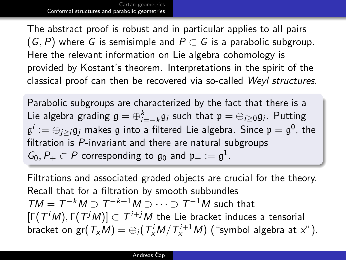The abstract proof is robust and in particular applies to all pairs  $(G, P)$  where G is semisimple and  $P \subset G$  is a parabolic subgroup. Here the relevant information on Lie algebra cohomology is provided by Kostant's theorem. Interpretations in the spirit of the classical proof can then be recovered via so-called Weyl structures.

Parabolic subgroups are characterized by the fact that there is a Lie algebra grading  $\mathfrak{g}=\oplus_{i=-k}^k\mathfrak{g}_i$  such that  $\mathfrak{p}=\oplus_{i\geq 0}\mathfrak{g}_i$ . Putting  $\mathfrak{g}^i:=\oplus_{j\geq i}\mathfrak{g}_j$  makes  $\mathfrak g$  into a filtered Lie algebra. Since  $\mathfrak p=\mathfrak{g}^0$ , the filtration is P-invariant and there are natural subgroups  $G_0, P_+ \subset P$  corresponding to  $\mathfrak{g}_0$  and  $\mathfrak{p}_+ := \mathfrak{g}^1$ .

Filtrations and associated graded objects are crucial for the theory. Recall that for a filtration by smooth subbundles  $TM = T^{-k}M \supset T^{-k+1}M \supset \cdots \supset T^{-1}M$  such that  $[\Gamma(T^iM), \Gamma(T^jM)] \subset T^{i+j}M$  the Lie bracket induces a tensorial bracket on gr $(\mathcal{T}_{x}M)=\oplus_{i}(\mathcal{T}_{x}^{i}M/\mathcal{T}_{x}^{i+1}M)$  ("symbol algebra at x").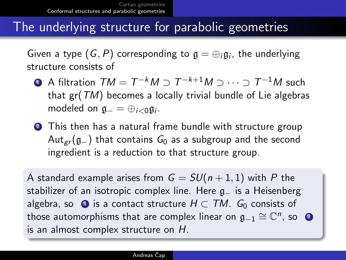### The underlying structure for parabolic geometries

Given a type  $(\mathsf{G},P)$  corresponding to  $\mathfrak{g}=\oplus_i \mathfrak{g}_i$ , the underlying structure consists of

- <span id="page-13-0"></span> $\bf{D}$  A filtration  $\mathcal{TM}=\mathcal{T}^{-k}M\supset\mathcal{T}^{-k+1}M\supset\cdots\supset\mathcal{T}^{-1}M$  such that  $gr(TM)$  becomes a locally trivial bundle of Lie algebras modeled on  $\mathfrak{g}_{-}=\oplus_{i<0}\mathfrak{g}_{i}$ .
- <span id="page-13-1"></span><sup>2</sup> This then has a natural frame bundle with structure group Aut<sub>er</sub>( $g_-\$ ) that contains  $G_0$  as a subgroup and the second ingredient is a reduction to that structure group.

A standard example arises from  $G = SU(n + 1, 1)$  with P the stabilizer of an isotropic complex line. Here  $g_$  is a Heisenberg algebra, so  $\bullet$  is a contact structure  $H \subset TM$ .  $G_0$  consists of those automorphisms that are complex linear on  $\mathfrak{g}_{-1}\cong \mathbb{C}^n$ , so  $\bullet$ is an almost complex structure on H.